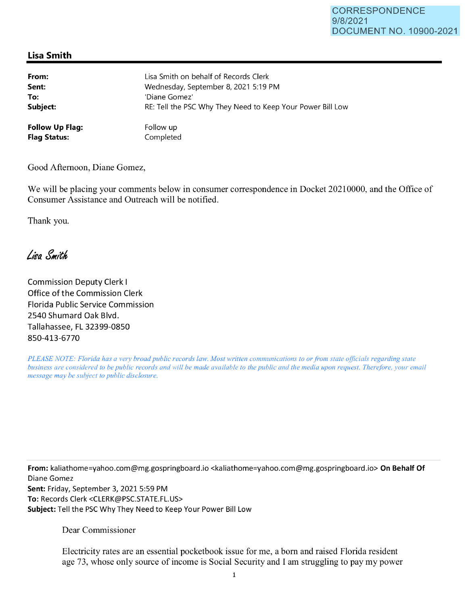## **Lisa Smith**

| From:                  | Lisa Smith on behalf of Records Clerk                      |
|------------------------|------------------------------------------------------------|
| Sent:                  | Wednesday, September 8, 2021 5:19 PM                       |
| To:                    | 'Diane Gomez'                                              |
| Subject:               | RE: Tell the PSC Why They Need to Keep Your Power Bill Low |
| <b>Follow Up Flag:</b> | Follow up                                                  |
| <b>Flag Status:</b>    | Completed                                                  |

Good Afternoon, Diane Gomez,

We will be placing your comments below in consumer correspondence in Docket 20210000, and the Office of Consumer Assistance and Outreach will be notified.

Thank you.

Lisa Smith

Commission Deputy Clerk I Office of the Commission Clerk Florida Public Service Commission 2540 Shumard Oak Blvd. Tallahassee, FL 32399-0850 850-413-6770

*PLEASE NOTE: Florida has a very broad public records law. Most written communications to or from state officials regarding state business are considered to be public records and will be made available to the public and the media upon request. Therefore, your email message may be subject to public disclosure.* 

**From:** kaliathome=yahoo.com@mg.gospringboard.io <kaliathome=yahoo.com@mg.gospringboard.io> **On Behalf Of**  Diane Gomez **Sent:** Friday, September 3, 2021 5:59 PM **To:** Records Clerk <CLERK@PSC.STATE.FL.US> **Subject:** Tell the PSC Why They Need to Keep Your Power Bill Low

Dear Commissioner

Electricity rates are an essential pocketbook issue for me, a born and raised Florida resident age 73, whose only source of income is Social Security and I am struggling to pay my power